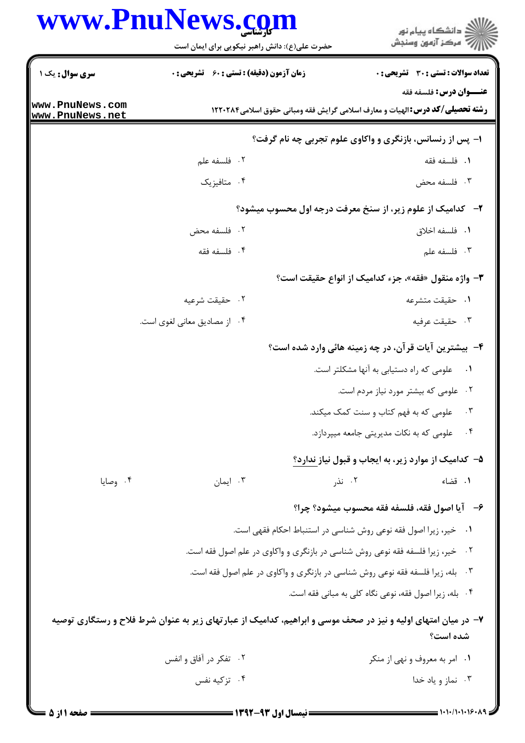## WWW PnuNaws com

| VV VV VV                           | <b>می شاسی</b><br>حضرت علی(ع): دانش راهبر نیکویی برای ایمان است                                               |                                                                                      | ≦ دانشگاه پيام نو <b>ر</b><br>7' مرڪز آزمون وسنڊش |  |  |
|------------------------------------|---------------------------------------------------------------------------------------------------------------|--------------------------------------------------------------------------------------|---------------------------------------------------|--|--|
| سری سوال : یک ۱                    | <b>زمان آزمون (دقیقه) : تستی : 60 ٪ تشریحی : 0</b>                                                            |                                                                                      | <b>تعداد سوالات : تستی : 30 ٪ تشریحی : 0</b>      |  |  |
|                                    |                                                                                                               |                                                                                      | <b>عنـــوان درس:</b> فلسفه فقه                    |  |  |
| www.PnuNews.com<br>www.PnuNews.net |                                                                                                               | <b>رشته تحصیلی/کد درس:</b> الهیات و معارف اسلامی گرایش فقه ومبانی حقوق اسلامی1۲۲۰۲۸۴ |                                                   |  |  |
|                                    | ۱- پس از رنسانس، بازنگری و واکاوی علوم تجربی چه نام گرفت؟                                                     |                                                                                      |                                                   |  |  |
|                                    | ۰۲ فلسفه علم                                                                                                  |                                                                                      | ٠١. فلسفه فقه                                     |  |  |
|                                    | ۰۴ متافيزيک                                                                                                   |                                                                                      | ۰۳ فلسفه محض                                      |  |  |
|                                    |                                                                                                               | ۲-۔ کدامیک از علوم زیر، از سنخ معرفت درجه اول محسوب میشود؟                           |                                                   |  |  |
|                                    | ٢. فلسفه محض                                                                                                  |                                                                                      | ٠١. فلسفه اخلاق                                   |  |  |
|                                    | ۰۴ فلسفه فقه                                                                                                  |                                                                                      | ۰۳ فلسفه علم                                      |  |  |
|                                    |                                                                                                               | <b>۳</b> - واژه منقول «فقه»، جزء کدامیک از انواع حقیقت است؟                          |                                                   |  |  |
|                                    | ۰۲ حقیقت شرعیه                                                                                                |                                                                                      | ٠١ حقيقت متشرعه                                   |  |  |
|                                    | ۰۴ از مصادیق معانی لغوی است.                                                                                  |                                                                                      | ۰۳ حقیقت عرفیه                                    |  |  |
|                                    |                                                                                                               | ۴- بیشترین آیات قرآن، در چه زمینه هائی وارد شده است؟                                 |                                                   |  |  |
|                                    |                                                                                                               |                                                                                      | ٠١ معلومي كه راه دستيابي به آنها مشكلتر است.      |  |  |
|                                    |                                                                                                               |                                                                                      | ۰۲ علومی که بیشتر مورد نیاز مردم است.             |  |  |
|                                    |                                                                                                               |                                                                                      | ۰۳ ملومی که به فهم کتاب و سنت کمک میکند.          |  |  |
|                                    |                                                                                                               |                                                                                      | ۰۴ میپردازد. (میریتی جامعه میپردازد.              |  |  |
|                                    |                                                                                                               | ۵- کدامیک از موارد زیر، به ایجاب و قبول نیاز ندارد؟                                  |                                                   |  |  |
| ۰۴ وصايا                           | ۰۳ ایمان                                                                                                      | ۰۲ نذر                                                                               | ٠١. قضاء                                          |  |  |
|                                    |                                                                                                               | ۶- آيا اصول فقه، فلسفه فقه محسوب ميشود؟ چرا؟                                         |                                                   |  |  |
|                                    |                                                                                                               | ۰۱ خیر، زیرا اصول فقه نوعی روش شناسی در استنباط احکام فقهی است.                      |                                                   |  |  |
|                                    |                                                                                                               | ۰۲ خیر، زیرا فلسفه فقه نوعی روش شناسی در بازنگری و واکاوی در علم اصول فقه است.       |                                                   |  |  |
|                                    |                                                                                                               | ۰۳ بله، زیرا فلسفه فقه نوعی روش شناسی در بازنگری و واکاوی در علم اصول فقه است.       |                                                   |  |  |
|                                    |                                                                                                               | ۰۴ بله، زيرا اصول فقه، نوعي نگاه كلي به مباني فقه است.                               |                                                   |  |  |
|                                    | ۷– در میان امتهای اولیه و نیز در صحف موسی و ابراهیم، کدامیک از عبارتهای زیر به عنوان شرط فلاح و رستگاری توصیه |                                                                                      | شده است؟                                          |  |  |
|                                    | ۰۲ تفکر در آفاق و انفس                                                                                        |                                                                                      | ۰۱ امر به معروف و نهی از منکر                     |  |  |
|                                    | ۰۴ تزکیه نفس                                                                                                  |                                                                                      | ۰۳ نماز و یاد خدا                                 |  |  |

 $-0.001$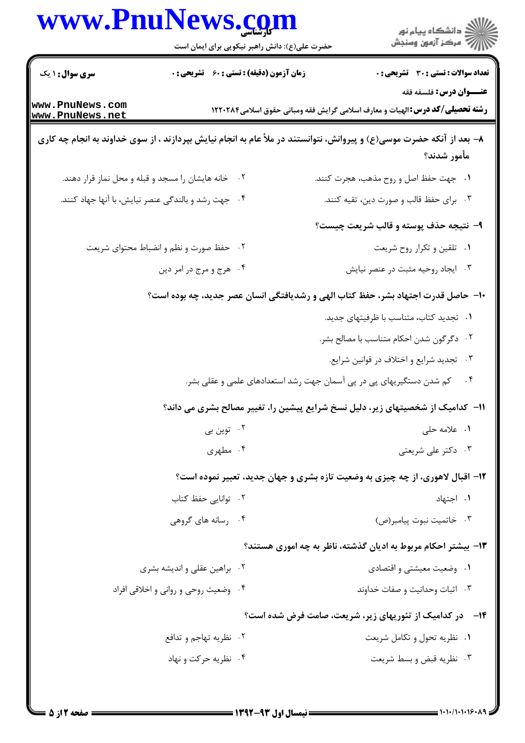|                                    | حضرت علی(ع): دانش راهبر نیکویی برای ایمان است       | ر<br>دانشڪاه پيام نور)<br>ا∛ مرڪز آزمون وسنڊش                                                                        |
|------------------------------------|-----------------------------------------------------|----------------------------------------------------------------------------------------------------------------------|
| <b>سری سوال : ۱ یک</b>             | <b>زمان آزمون (دقیقه) : تستی : 60 ٪ تشریحی : 0</b>  | <b>تعداد سوالات : تستی : 30 ٪ تشریحی : 0</b>                                                                         |
| www.PnuNews.com<br>www.PnuNews.net |                                                     | عنــوان درس: فلسفه فقه<br><b>رشته تحصیلی/کد درس:</b> الهیات و معارف اسلامی گرایش فقه ومبانی حقوق اسلامی1۲۲۰۲۸۴       |
|                                    |                                                     | ۸– بعد از آنکه حضرت موسی(ع) و پیروانش، نتوانستند در ملأ عام به انجام نیایش بپردازند ، از سوی خداوند به انجام چه کاری |
|                                    |                                                     | مأمور شدند؟                                                                                                          |
|                                    | ۰۲ خانه هایشان را مسجد و قبله و محل نماز قرار دهند. | ١. جهت حفظ اصل و روح مذهب، هجرت كنند.                                                                                |
|                                    | ۰۴ جهت رشد و بالندگی عنصر نیایش، با آنها جهاد کنند. | ۰۳ برای حفظ قالب و صورت دین، تقیه کنند.                                                                              |
|                                    |                                                     | ۹- نتيجه حذف پوسته و قالب شريعت چيست؟                                                                                |
|                                    | حفظ صورت و نظم و انضباط محتواي شريعت<br>.7          | ۰۱ تلقین و تکرار روح شریعت                                                                                           |
|                                    | ۰۴ هرج و مرج در امر دين                             | ۰۳ ایجاد روحیه مثبت در عنصر نیایش                                                                                    |
|                                    |                                                     | ∙ا− حاصل قدرت اجتهاد بشر، حفظ کتاب الهی و رشدیافتگی انسان عصر جدید، چه بوده است؟                                     |
|                                    |                                                     | ٠١ تجديد كتاب، متناسب با ظرفيتهاى جديد.                                                                              |
|                                    |                                                     | ۰۲ دگرگون شدن احکام متناسب با مصالح بشر.                                                                             |
|                                    |                                                     | ۰۳ تجدید شرایع و اختلاف در قوانین شرایع.                                                                             |
|                                    |                                                     | ۰۴ کم شدن دستگیریهای پی در پی آسمان جهت رشد استعدادهای علمی و عقلی بشر.                                              |
|                                    |                                                     | 11- کدامیک از شخصیتهای زیر، دلیل نسخ شرایع پیشین را، تغییر مصالح بشری می داند؟                                       |
|                                    | ۰۲ توین بی                                          | ۰۱ علامه حلي                                                                                                         |
|                                    | ۰۴ مطهری                                            | ۰۳ دکتر علی شریعتی                                                                                                   |
|                                    |                                                     | <b>۱۲</b> - اقبال لاهوری، از چه چیزی به وضعیت تازه بشری و جهان جدید، تعبیر نموده است؟                                |
|                                    | ۰۲ توانایی حفظ کتاب                                 | ۰۱ اجتهاد                                                                                                            |
|                                    | ۰۴ رسانه های گروهی                                  | ۰۳ خاتميت نبوت پيامبر(ص)                                                                                             |
|                                    |                                                     | ۱۳– بیشتر احکام مربوط به ادیان گذشته، ناظر به چه اموری هستند؟                                                        |
|                                    | ۰۲ براهین عقلی و اندیشه بشری                        | ۰۱ وضعیت معیشتی و اقتصادی                                                                                            |
|                                    | ۰۴ وضعیت روحی و روانی و اخلاقی افراد                | ۰۳ اثبات وحدانيت و صفات خداوند                                                                                       |
|                                    |                                                     | <b>۱۴</b> - در کدامیک از تئوریهای زیر، شریعت، صامت فرض شده است؟                                                      |
|                                    |                                                     |                                                                                                                      |
|                                    | ۰۲ نظریه تهاجم و تدافع                              | ۰۱ نظریه تحول و تکامل شریعت                                                                                          |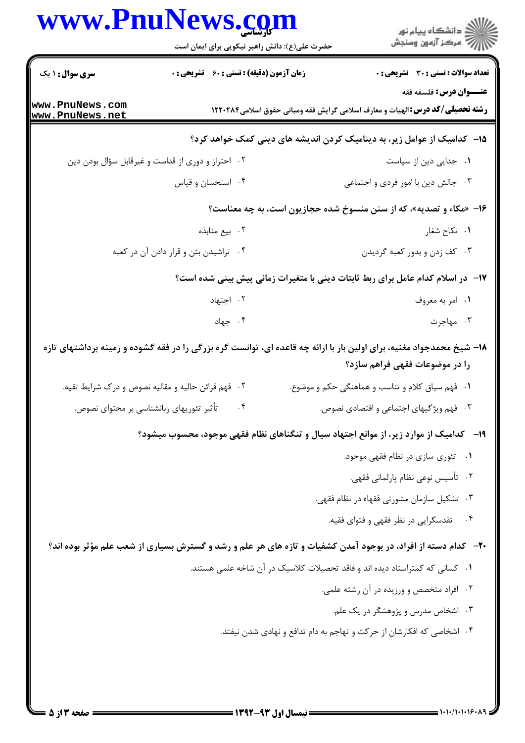## www.PnuNews.com

|                                          | www.PnuNews.com<br>حضرت علی(ع): دانش راهبر نیکویی برای ایمان است | الاد دانشگاه پيام نور<br>الا مرکز آزمون وسنجش                                                                                                          |
|------------------------------------------|------------------------------------------------------------------|--------------------------------------------------------------------------------------------------------------------------------------------------------|
| <b>سری سوال : ۱ یک</b>                   | <b>زمان آزمون (دقیقه) : تستی : 60 ٪ تشریحی : 0</b>               | <b>تعداد سوالات : تستی : 30 - تشریحی : 0</b>                                                                                                           |
| www.PnuNews.com<br>www.PnuNews.net       |                                                                  | عنــوان درس: فلسفه فقه<br><b>رشته تحصیلی/کد درس:</b> الهیات و معارف اسلامی گرایش فقه ومبانی حقوق اسلامی1۲۲۰۲۸۴                                         |
|                                          |                                                                  | ۱۵− کدامیک از عوامل زیر، به دینامیک کردن اندیشه های دینی کمک خواهد کرد؟                                                                                |
|                                          | ۰۲ احتراز و دوری از قداست و غیرقابل سؤال بودن دین                | ۰۱ جدایی دین از سیاست                                                                                                                                  |
|                                          | ۰۴ استحسان و قیاس                                                | ۰۳ چالش دین با امور فردی و اجتماعی                                                                                                                     |
|                                          |                                                                  | ۱۶- «مکاء و تصدیه»، که از سنن منسوخ شده حجازیون است، به چه معناست؟                                                                                     |
|                                          | ۰۲ بیع منابذه                                                    | ۰۱ نکاح شغار                                                                                                                                           |
|                                          | ۰۴ تراشیدن بتن و قرار دادن آن در کعبه                            | ۰۳ کف زدن و بدور کعبه گرديدن                                                                                                                           |
|                                          |                                                                  | ۱۷– در اسلام کدام عامل برای ربط ثابتات دینی با متغیرات زمانی پیش بینی شده است؟                                                                         |
|                                          | ۰۲ اجتهاد                                                        | ٠١. امر به معروف                                                                                                                                       |
|                                          | ۰۴ جهاد                                                          | ۰۳ مهاجرت                                                                                                                                              |
|                                          |                                                                  | ۱۸– شیخ محمدجواد مغنیه، برای اولین بار با ارائه چه قاعده ای، توانست گره بزرگی را در فقه گشوده و زمینه برداشتهای تازه<br>را در موضوعات فقهی فراهم سازد؟ |
|                                          | ۰۲ فهم قرائن حالیه و مقالیه نصوص و درک شرایط تقیه.               | ۰۱ فهم سیاق کلام و تناسب و هماهنگی حکم و موضوع.                                                                                                        |
| تأثیر تئوریهای زبانشناسی بر محتوای نصوص. | $\cdot$ ۴                                                        | ۰۳ فهم ویژگیهای اجتماعی و اقتصادی نصوص.                                                                                                                |
|                                          |                                                                  | ۱۹- کدامیک از موارد زیر، از موانع اجتهاد سیال و تنگناهای نظام فقهی موجود، محسوب میشود؟                                                                 |
|                                          |                                                                  | ٠١ تئوري سازي در نظام فقهي موجود.                                                                                                                      |
|                                          |                                                                  | ۰۲ تأسیس نوعی نظام پارلمانی فقهی.                                                                                                                      |
|                                          |                                                                  | ۰۳ تشکیل سازمان مشورتی فقهاء در نظام فقهی.                                                                                                             |
|                                          |                                                                  | ۴. تقدسگرایی در نظر فقهی و فتوای فقیه.                                                                                                                 |
|                                          |                                                                  | <b>۳۰</b> - کدام دسته از افراد، در بوجود آمدن کشفیات و تازه های هر علم و رشد و گسترش بسیاری از شعب علم مؤثر بوده اند؟                                  |
|                                          |                                                                  | ۰۱ کسانی که کمتراستاد دیده اند و فاقد تحصیلات کلاسیک در آن شاخه علمی هستند.                                                                            |
|                                          |                                                                  | ۰۲ افراد متخصص و ورزیده در آن رشته علمی.                                                                                                               |
|                                          |                                                                  | ۰۳ اشخاص مدرس و پژوهشگر در یک علم.                                                                                                                     |
|                                          |                                                                  | ۰۴ اشخاصی که افکارشان از حرکت و تهاجم به دام تدافع و نهادی شدن نیفتد.                                                                                  |
|                                          |                                                                  |                                                                                                                                                        |
|                                          |                                                                  |                                                                                                                                                        |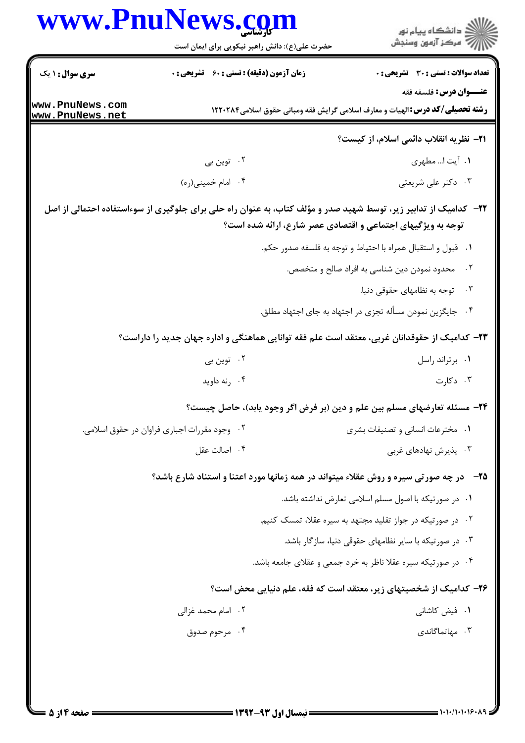|                                    | www.PnuNews.com<br>حضرت علی(ع): دانش راهبر نیکویی برای ایمان است | ِ دانشڪاه پيام نور<br>/√ مرڪز آزمون وسنڊش                                                                                                                                      |
|------------------------------------|------------------------------------------------------------------|--------------------------------------------------------------------------------------------------------------------------------------------------------------------------------|
| <b>سری سوال : ۱ یک</b>             | <b>زمان آزمون (دقیقه) : تستی : 60 ٪ تشریحی : 0</b>               | تعداد سوالات : تستى : 30 - تشريحي : 0                                                                                                                                          |
| www.PnuNews.com<br>www.PnuNews.net |                                                                  | <b>عنـــوان درس:</b> فلسفه فقه<br><b>رشته تحصیلی/کد درس:</b> الهیات و معارف اسلامی گرایش فقه ومبانی حقوق اسلامی1۲۲۰۲۸۴                                                         |
|                                    |                                                                  | <b>٢١</b> - نظريه انقلاب دائمي اسلام، از كيست؟                                                                                                                                 |
|                                    | ۲. توین بی                                                       | ٠١. آيت ا مطهري                                                                                                                                                                |
|                                    | ۰۴ امام خميني(ره)                                                | ۰۳ دکتر علی شریعتی                                                                                                                                                             |
|                                    |                                                                  | ۲۲– کدامیک از تدابیر زیر، توسط شهید صدر و مؤلف کتاب، به عنوان راه حلی برای جلوگیری از سوءاستفاده احتمالی از اصل<br>توجه به ویژگیهای اجتماعی و اقتصادی عصر شارع، ارائه شده است؟ |
|                                    |                                                                  | ٠١ قبول و استقبال همراه با احتياط و توجه به فلسفه صدور حكم.                                                                                                                    |
|                                    |                                                                  | محدود نمودن دین شناسی به افراد صالح و متخصص.<br>$\cdot$ $\cdot$ $\cdot$<br>۰۳ توجه به نظامهای حقوقی دنیا.                                                                      |
|                                    |                                                                  | ۰۴ جایگزین نمودن مسأله تجزی در اجتهاد به جای اجتهاد مطلق.                                                                                                                      |
|                                    |                                                                  | ۲۳– کدامیک از حقوقدانان غربی، معتقد است علم فقه توانایی هماهنگی و اداره جهان جدید را داراست؟                                                                                   |
|                                    | ۰۲ توین بی                                                       | ٠١. برتراند راسل                                                                                                                                                               |
|                                    | ۰۴ رنه داويد                                                     | ۰۳ دکارت                                                                                                                                                                       |
|                                    |                                                                  | ۲۴- مسئله تعارضهای مسلم بین علم و دین (بر فرض اگر وجود یابد)، حاصل چیست؟                                                                                                       |
|                                    | ۰۲ وجود مقررات اجباری فراوان در حقوق اسلامی.                     | ۰۱ مخترعات انسانی و تصنیفات بشری                                                                                                                                               |
|                                    | ۰۴ اصالت عقل                                                     | ۰۳ پذیرش نهادهای غربی                                                                                                                                                          |
|                                    |                                                                  | <b>۲۵</b> - در چه صورتی سیره و روش عقلاء میتواند در همه زمانها مورد اعتنا و استناد شارع باشد؟                                                                                  |
|                                    |                                                                  | ۰۱ در صورتیکه با اصول مسلم اسلامی تعارض نداشته باشد.                                                                                                                           |
|                                    |                                                                  | ۰۲ در صورتیکه در جواز تقلید مجتهد به سیره عقلا، تمسک کنیم.                                                                                                                     |
|                                    |                                                                  | ۰۳ در صورتیکه با سایر نظامهای حقوقی دنیا، سازگار باشد.                                                                                                                         |
|                                    |                                                                  | ۰۴ در صورتیکه سیره عقلا ناظر به خرد جمعی و عقلای جامعه باشد.                                                                                                                   |
|                                    |                                                                  | ۲۶– کدامیک از شخصیتهای زیر، معتقد است که فقه، علم دنیایی محض است؟                                                                                                              |
|                                    | ۰۲ امام محمد غزالی                                               | ۰۱ فیض کاشان <sub>ی</sub>                                                                                                                                                      |
|                                    | ۰۴ مرحوم صدوق                                                    | ۰۳ مهاتماگاندی                                                                                                                                                                 |